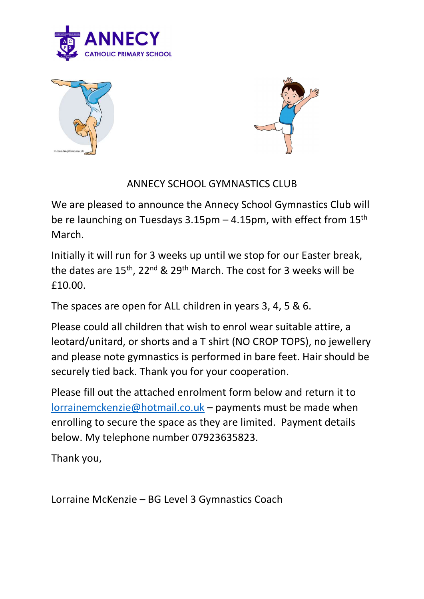





## ANNECY SCHOOL GYMNASTICS CLUB

We are pleased to announce the Annecy School Gymnastics Club will be re launching on Tuesdays 3.15pm – 4.15pm, with effect from 15th March.

Initially it will run for 3 weeks up until we stop for our Easter break, the dates are 15<sup>th</sup>, 22<sup>nd</sup> & 29<sup>th</sup> March. The cost for 3 weeks will be £10.00.

The spaces are open for ALL children in years 3, 4, 5 & 6.

Please could all children that wish to enrol wear suitable attire, a leotard/unitard, or shorts and a T shirt (NO CROP TOPS), no jewellery and please note gymnastics is performed in bare feet. Hair should be securely tied back. Thank you for your cooperation.

Please fill out the attached enrolment form below and return it to lorrainemckenzie@hotmail.co.uk – payments must be made when enrolling to secure the space as they are limited. Payment details below. My telephone number 07923635823.

Thank you,

Lorraine McKenzie – BG Level 3 Gymnastics Coach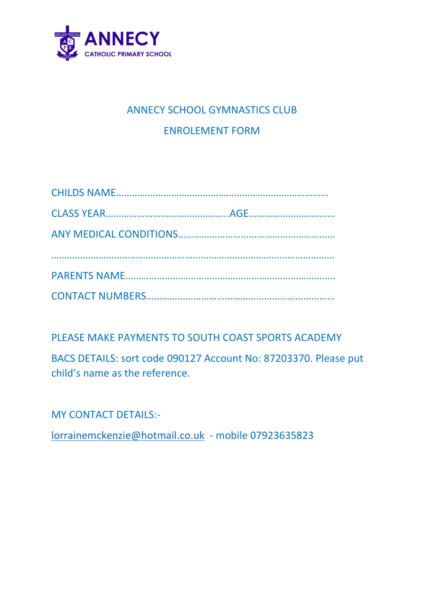

## ANNECY SCHOOL GYMNASTICS CLUB ENROLEMENT FORM

PLEASE MAKE PAYMENTS TO SOUTH COAST SPORTS ACADEMY

BACS DETAILS: sort code 090127 Account No: 87203370. Please put child's name as the reference.

MY CONTACT DETAILS:-

lorrainemckenzie@hotmail.co.uk - mobile 07923635823